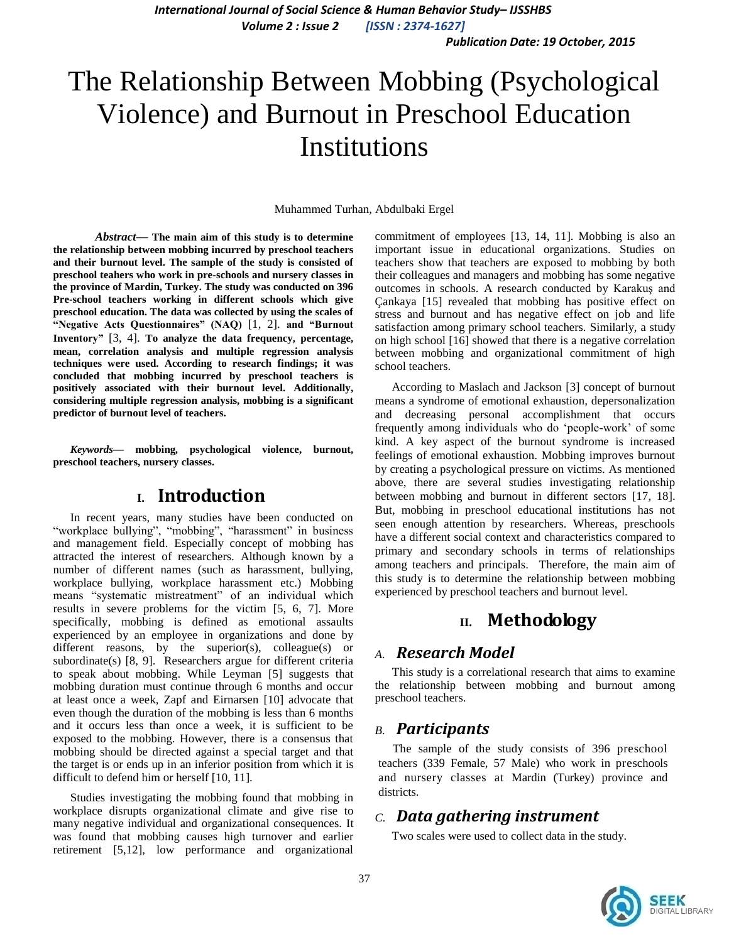*International Journal of Social Science & Human Behavior Study– IJSSHBS Volume 2 : Issue 2 [ISSN : 2374-1627]*

*Publication Date: 19 October, 2015*

# The Relationship Between Mobbing (Psychological Violence) and Burnout in Preschool Education Institutions

Muhammed Turhan, Abdulbaki Ergel

*Abstract***— The main aim of this study is to determine the relationship between mobbing incurred by preschool teachers and their burnout level. The sample of the study is consisted of preschool teahers who work in pre-schools and nursery classes in the province of Mardin, Turkey. The study was conducted on 396 Pre-school teachers working in different schools which give preschool education. The data was collected by using the scales of "Negative Acts Questionnaires" (NAQ)** [1, 2]. **and "Burnout Inventory"** [3, 4]. **To analyze the data frequency, percentage, mean, correlation analysis and multiple regression analysis techniques were used. According to research findings; it was concluded that mobbing incurred by preschool teachers is positively associated with their burnout level. Additionally, considering multiple regression analysis, mobbing is a significant predictor of burnout level of teachers.** 

*Keywords—* **mobbing***,* **psychological violence, burnout, preschool teachers, nursery classes.**

## **I. Introduction**

In recent years, many studies have been conducted on "workplace bullying", "mobbing", "harassment" in business and management field. Especially concept of mobbing has attracted the interest of researchers. Although known by a number of different names (such as harassment, bullying, workplace bullying, workplace harassment etc.) Mobbing means "systematic mistreatment" of an individual which results in severe problems for the victim [5, 6, 7]. More specifically, mobbing is defined as emotional assaults experienced by an employee in organizations and done by different reasons, by the superior(s), colleague(s) or subordinate(s) [8, 9]. Researchers argue for different criteria to speak about mobbing. While Leyman [5] suggests that mobbing duration must continue through 6 months and occur at least once a week, Zapf and Eirnarsen [10] advocate that even though the duration of the mobbing is less than 6 months and it occurs less than once a week, it is sufficient to be exposed to the mobbing. However, there is a consensus that mobbing should be directed against a special target and that the target is or ends up in an inferior position from which it is difficult to defend him or herself [10, 11].

Studies investigating the mobbing found that mobbing in workplace disrupts organizational climate and give rise to many negative individual and organizational consequences. It was found that mobbing causes high turnover and earlier retirement [5,12], low performance and organizational

commitment of employees [13, 14, 11]. Mobbing is also an important issue in educational organizations. Studies on teachers show that teachers are exposed to mobbing by both their colleagues and managers and mobbing has some negative outcomes in schools. A research conducted by Karakuş and Çankaya [15] revealed that mobbing has positive effect on stress and burnout and has negative effect on job and life satisfaction among primary school teachers. Similarly, a study on high school [16] showed that there is a negative correlation between mobbing and organizational commitment of high school teachers.

According to Maslach and Jackson [3] concept of burnout means a syndrome of emotional exhaustion, depersonalization and decreasing personal accomplishment that occurs frequently among individuals who do "people-work" of some kind. A key aspect of the burnout syndrome is increased feelings of emotional exhaustion. Mobbing improves burnout by creating a psychological pressure on victims. As mentioned above, there are several studies investigating relationship between mobbing and burnout in different sectors [17, 18]. But, mobbing in preschool educational institutions has not seen enough attention by researchers. Whereas, preschools have a different social context and characteristics compared to primary and secondary schools in terms of relationships among teachers and principals. Therefore, the main aim of this study is to determine the relationship between mobbing experienced by preschool teachers and burnout level.

## **II. Methodology**

#### *A. Research Model*

This study is a correlational research that aims to examine the relationship between mobbing and burnout among preschool teachers.

#### *B. Participants*

The sample of the study consists of 396 preschool teachers (339 Female, 57 Male) who work in preschools and nursery classes at Mardin (Turkey) province and districts.

## *C. Data gathering instrument*

Two scales were used to collect data in the study.

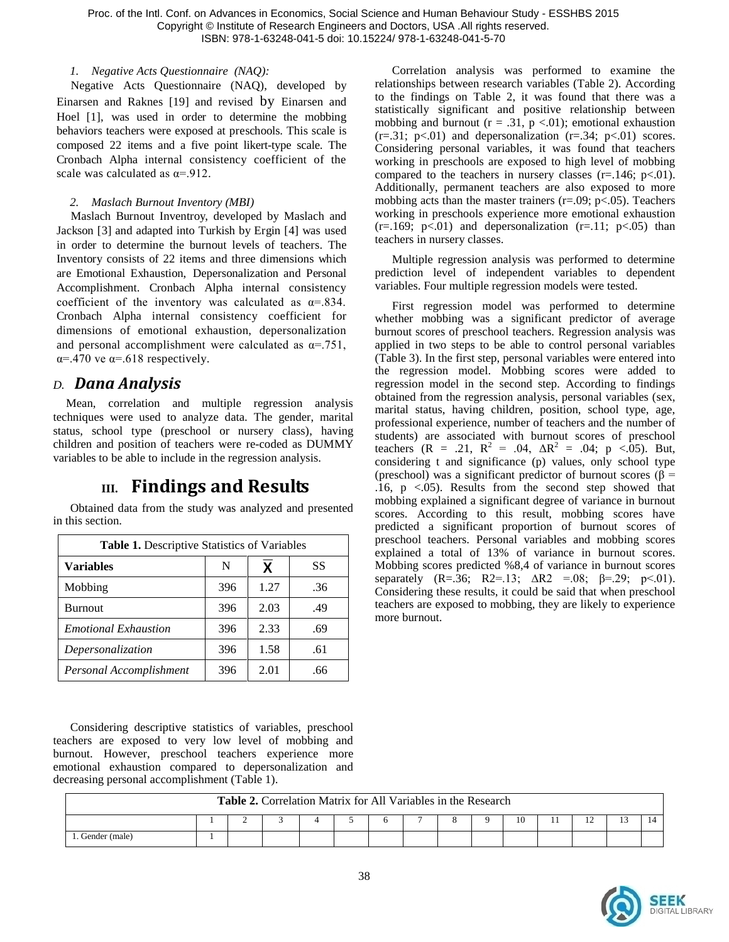Proc. of the Intl. Conf. on Advances in Economics, Social Science and Human Behaviour Study - ESSHBS 2015 Copyright © Institute of Research Engineers and Doctors, USA .All rights reserved. ISBN: 978-1-63248-041-5 doi: 10.15224/ 978-1-63248-041-5-70

#### *1. Negative Acts Questionnaire (NAQ):*

Negative Acts Questionnaire (NAQ), developed by Einarsen and Raknes [19] and revised by Einarsen and Hoel [1], was used in order to determine the mobbing behaviors teachers were exposed at preschools. This scale is composed 22 items and a five point likert-type scale. The Cronbach Alpha internal consistency coefficient of the scale was calculated as  $\alpha = 912$ .

#### *2. Maslach Burnout Inventory (MBI)*

Maslach Burnout Inventroy, developed by Maslach and Jackson [3] and adapted into Turkish by Ergin [4] was used in order to determine the burnout levels of teachers. The Inventory consists of 22 items and three dimensions which are Emotional Exhaustion, Depersonalization and Personal Accomplishment. Cronbach Alpha internal consistency coefficient of the inventory was calculated as  $\alpha$ =.834. Cronbach Alpha internal consistency coefficient for dimensions of emotional exhaustion, depersonalization and personal accomplishment were calculated as  $\alpha = 751$ ,  $\alpha$ =.470 ve  $\alpha$ =.618 respectively.

## *D. Dana Analysis*

 $\Gamma$ 

Mean, correlation and multiple regression analysis techniques were used to analyze data. The gender, marital status, school type (preschool or nursery class), having children and position of teachers were re-coded as DUMMY variables to be able to include in the regression analysis.

# **III. Findings and Results**

Obtained data from the study was analyzed and presented in this section.

| Table 1. Descriptive Statistics of Variables |     |      |     |  |  |  |  |  |  |
|----------------------------------------------|-----|------|-----|--|--|--|--|--|--|
| <b>Variables</b>                             | N   | χ    | SS  |  |  |  |  |  |  |
| Mobbing                                      | 396 | 1.27 | .36 |  |  |  |  |  |  |
| <b>Burnout</b>                               | 396 | 2.03 | .49 |  |  |  |  |  |  |
| <b>Emotional Exhaustion</b>                  | 396 | 2.33 | .69 |  |  |  |  |  |  |
| Depersonalization                            | 396 | 1.58 | .61 |  |  |  |  |  |  |
| Personal Accomplishment                      | 396 | 2.01 | .66 |  |  |  |  |  |  |

Considering descriptive statistics of variables, preschool teachers are exposed to very low level of mobbing and burnout. However, preschool teachers experience more emotional exhaustion compared to depersonalization and decreasing personal accomplishment (Table 1).

Correlation analysis was performed to examine the relationships between research variables (Table 2). According to the findings on Table 2, it was found that there was a statistically significant and positive relationship between mobbing and burnout ( $r = .31$ ,  $p < .01$ ); emotional exhaustion  $(r=.31; p<.01)$  and depersonalization  $(r=.34; p<.01)$  scores. Considering personal variables, it was found that teachers working in preschools are exposed to high level of mobbing compared to the teachers in nursery classes  $(r=.146; p<.01)$ . Additionally, permanent teachers are also exposed to more mobbing acts than the master trainers ( $r = .09$ ;  $p < .05$ ). Teachers working in preschools experience more emotional exhaustion  $(r=169; p<.01)$  and depersonalization  $(r=11; p<.05)$  than teachers in nursery classes.

Multiple regression analysis was performed to determine prediction level of independent variables to dependent variables. Four multiple regression models were tested.

First regression model was performed to determine whether mobbing was a significant predictor of average burnout scores of preschool teachers. Regression analysis was applied in two steps to be able to control personal variables (Table 3). In the first step, personal variables were entered into the regression model. Mobbing scores were added to regression model in the second step. According to findings obtained from the regression analysis, personal variables (sex, marital status, having children, position, school type, age, professional experience, number of teachers and the number of students) are associated with burnout scores of preschool teachers  $(R = .21, R^2 = .04, \Delta R^2 = .04; p < .05)$ . But, considering t and significance (p) values, only school type (preschool) was a significant predictor of burnout scores ( $\beta$  = .16,  $p \lt 0.05$ ). Results from the second step showed that mobbing explained a significant degree of variance in burnout scores. According to this result, mobbing scores have predicted a significant proportion of burnout scores of preschool teachers. Personal variables and mobbing scores explained a total of 13% of variance in burnout scores. Mobbing scores predicted %8,4 of variance in burnout scores separately (R=.36; R2=.13;  $\Delta R2 = .08$ ;  $\beta = .29$ ; p<.01). Considering these results, it could be said that when preschool teachers are exposed to mobbing, they are likely to experience more burnout.

| <b>Table 2.</b> Correlation Matrix for All Variables in the Research |  |  |  |  |  |  |  |  |  |  |     |  |  |
|----------------------------------------------------------------------|--|--|--|--|--|--|--|--|--|--|-----|--|--|
|                                                                      |  |  |  |  |  |  |  |  |  |  | . . |  |  |
| Gender (male)                                                        |  |  |  |  |  |  |  |  |  |  |     |  |  |

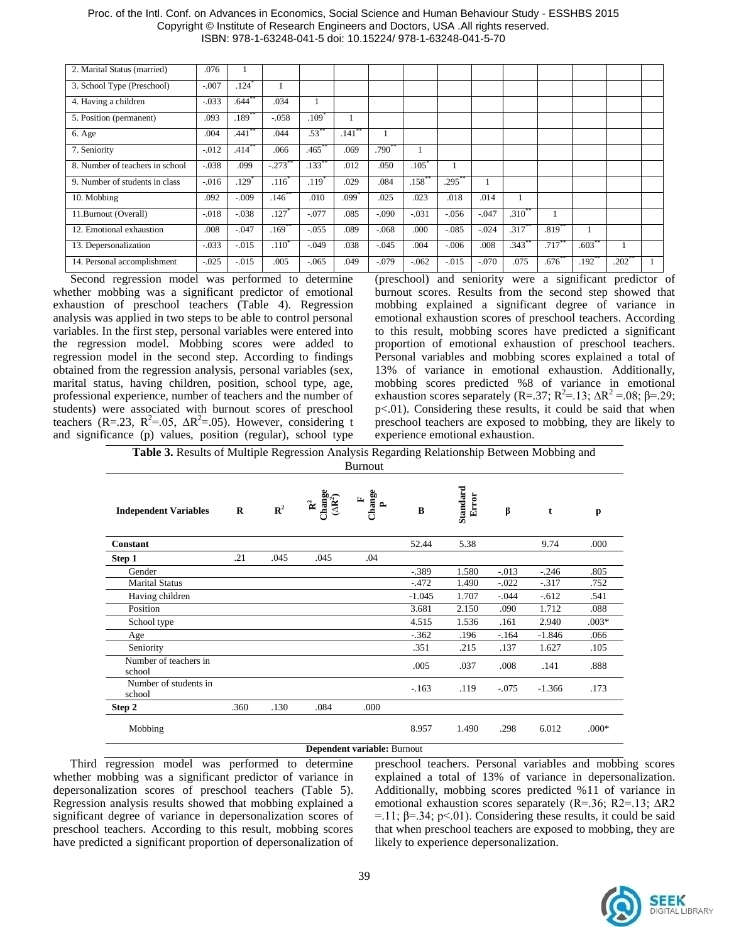| 2. Marital Status (married)     | .076     |                   |                     |                   |       |                  |                  |                |         |                      |                   |                   |                     |  |
|---------------------------------|----------|-------------------|---------------------|-------------------|-------|------------------|------------------|----------------|---------|----------------------|-------------------|-------------------|---------------------|--|
| 3. School Type (Preschool)      | $-.007$  | .124              |                     |                   |       |                  |                  |                |         |                      |                   |                   |                     |  |
| 4. Having a children            | $-.033$  | $.644***$         | .034                |                   |       |                  |                  |                |         |                      |                   |                   |                     |  |
| 5. Position (permanent)         | .093     | .189 <sup>°</sup> | $-.058$             | .109 <sup>°</sup> |       |                  |                  |                |         |                      |                   |                   |                     |  |
| 6. Age                          | .004     | .441              | .044                | $.53^{\degree}$   | .141  |                  |                  |                |         |                      |                   |                   |                     |  |
| 7. Seniority                    | $-.012$  | .414°             | .066                | .465              | .069  | $.790^{\degree}$ |                  |                |         |                      |                   |                   |                     |  |
| 8. Number of teachers in school | $-.038$  | .099              | $-.273$             | .133              | .012  | .050             | .105             |                |         |                      |                   |                   |                     |  |
| 9. Number of students in class  | $-.016$  | .129              | $.116^{\circ}$      | .119 <sup>°</sup> | .029  | .084             | $.158^{\degree}$ | $.295^{\circ}$ |         |                      |                   |                   |                     |  |
| 10. Mobbing                     | .092     | $-.009$           | $.146$ **           | .010              | .099° | .025             | .023             | .018           | .014    |                      |                   |                   |                     |  |
| 11.Burnout (Overall)            | $-.018$  | $-.038$           | .127                | $-.077$           | .085  | $-.090$          | $-.031$          | $-.056$        | $-.047$ | $.310**$             |                   |                   |                     |  |
| 12. Emotional exhaustion        | .008     | $-.047$           | $.169$ <sup>2</sup> | $-.055$           | .089  | $-.068$          | .000             | $-.085$        | $-.024$ | $.317$ <sup>**</sup> | .819 <sup>°</sup> |                   |                     |  |
| 13. Depersonalization           | $-.033$  | $-.015$           | $.110^{3}$          | $-.049$           | .038  | $-.045$          | .004             | $-.006$        | .008    | $.343$ <sup>**</sup> | $.717***$         | $.603^*$          |                     |  |
| 14. Personal accomplishment     | $-0.025$ | $-.015$           | .005                | $-0.065$          | .049  | $-.079$          | $-.062$          | $-.015$        | $-.070$ | .075                 | .676 <sup>°</sup> | .192 <sup>°</sup> | $.202$ <sup>*</sup> |  |

#### Proc. of the Intl. Conf. on Advances in Economics, Social Science and Human Behaviour Study - ESSHBS 2015 Copyright © Institute of Research Engineers and Doctors, USA .All rights reserved. ISBN: 978-1-63248-041-5 doi: 10.15224/ 978-1-63248-041-5-70

Second regression model was performed to determine whether mobbing was a significant predictor of emotional exhaustion of preschool teachers (Table 4). Regression analysis was applied in two steps to be able to control personal variables. In the first step, personal variables were entered into the regression model. Mobbing scores were added to regression model in the second step. According to findings obtained from the regression analysis, personal variables (sex, marital status, having children, position, school type, age, professional experience, number of teachers and the number of students) were associated with burnout scores of preschool teachers (R=.23, R<sup>2</sup>=.05,  $\Delta$ R<sup>2</sup>=.05). However, considering t and significance (p) values, position (regular), school type

(preschool) and seniority were a significant predictor of burnout scores. Results from the second step showed that mobbing explained a significant degree of variance in emotional exhaustion scores of preschool teachers. According to this result, mobbing scores have predicted a significant proportion of emotional exhaustion of preschool teachers. Personal variables and mobbing scores explained a total of 13% of variance in emotional exhaustion. Additionally, mobbing scores predicted %8 of variance in emotional exhaustion scores separately (R=.37; R<sup>2</sup>=.13; ΔR<sup>2</sup> = .08; β=.29; p<.01). Considering these results, it could be said that when preschool teachers are exposed to mobbing, they are likely to experience emotional exhaustion.

**Table 3.** Results of Multiple Regression Analysis Regarding Relationship Between Mobbing and Burnout

| <b>Independent Variables</b>    | R    | $\mathbb{R}^2$ | $\frac{R^2}{(AR^2)}$ | Change<br>$\mathbf{r}$      | B        | Standard<br>Error | β        | t        | p       |
|---------------------------------|------|----------------|----------------------|-----------------------------|----------|-------------------|----------|----------|---------|
| Constant                        |      |                |                      |                             | 52.44    | 5.38              |          | 9.74     | .000    |
| Step 1                          | .21  | .045           | .045                 | .04                         |          |                   |          |          |         |
| Gender                          |      |                |                      |                             | $-.389$  | 1.580             | $-0.013$ | $-.246$  | .805    |
| <b>Marital Status</b>           |      |                |                      |                             | $-.472$  | 1.490             | $-.022$  | $-317$   | .752    |
| Having children                 |      |                |                      |                             | $-1.045$ | 1.707             | $-.044$  | $-.612$  | .541    |
| Position                        |      |                |                      |                             | 3.681    | 2.150             | .090     | 1.712    | .088    |
| School type                     |      |                |                      |                             | 4.515    | 1.536             | .161     | 2.940    | $.003*$ |
| Age                             |      |                |                      |                             | $-.362$  | .196              | $-164$   | $-1.846$ | .066    |
| Seniority                       |      |                |                      |                             | .351     | .215              | .137     | 1.627    | .105    |
| Number of teachers in<br>school |      |                |                      |                             | .005     | .037              | .008     | .141     | .888    |
| Number of students in<br>school |      |                |                      |                             | $-163$   | .119              | $-.075$  | $-1.366$ | .173    |
| Step 2                          | .360 | .130           | .084                 | .000                        |          |                   |          |          |         |
| Mobbing                         |      |                |                      |                             | 8.957    | 1.490             | .298     | 6.012    | $.000*$ |
|                                 |      |                |                      | Dependent variable: Burnout |          |                   |          |          |         |

Third regression model was performed to determine whether mobbing was a significant predictor of variance in depersonalization scores of preschool teachers (Table 5). Regression analysis results showed that mobbing explained a significant degree of variance in depersonalization scores of preschool teachers. According to this result, mobbing scores have predicted a significant proportion of depersonalization of

preschool teachers. Personal variables and mobbing scores explained a total of 13% of variance in depersonalization. Additionally, mobbing scores predicted %11 of variance in emotional exhaustion scores separately (R=.36; R2=.13; ∆R2 =.11;  $\beta$ =.34; p<.01). Considering these results, it could be said that when preschool teachers are exposed to mobbing, they are likely to experience depersonalization.

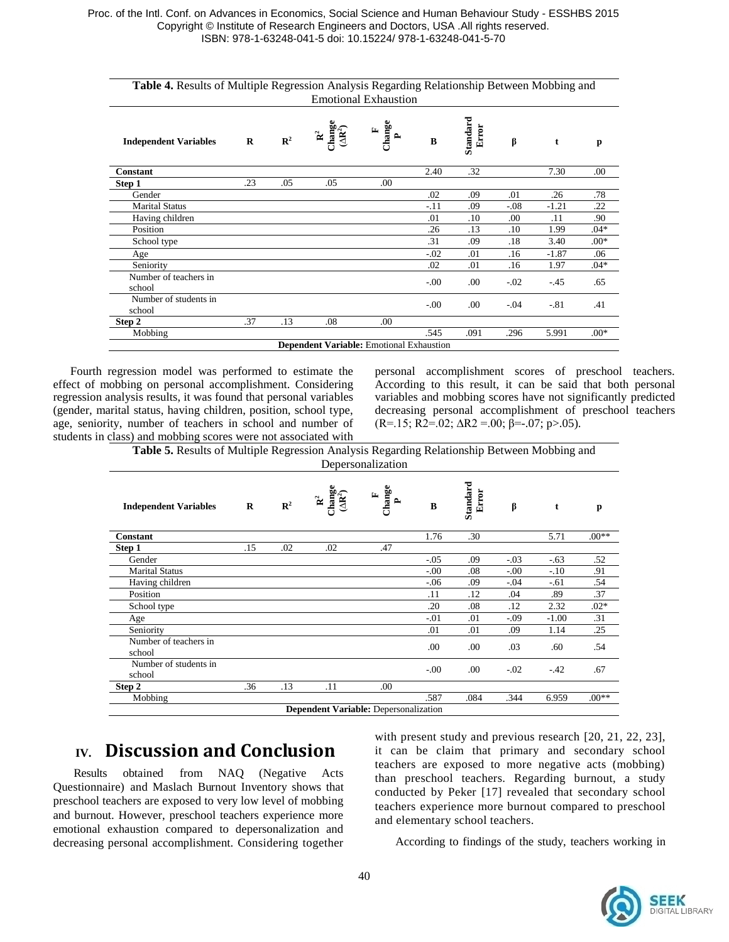| Table 4. Results of Multiple Regression Analysis Regarding Relationship Between Mobbing and |                                                 |                |                                                   | <b>Emotional Exhaustion</b>                                     |        |                   |        |         |        |
|---------------------------------------------------------------------------------------------|-------------------------------------------------|----------------|---------------------------------------------------|-----------------------------------------------------------------|--------|-------------------|--------|---------|--------|
| <b>Independent Variables</b>                                                                | R                                               | $\mathbb{R}^2$ | $\mathbf{R}^2$ :<br>hange $(\Delta \mathbf{R}^2)$ | $\begin{array}{c}\n\text{Change} \\ \text{P}\n\end{array}$<br>国 | B      | Standard<br>Error | β      | t       | p      |
| <b>Constant</b>                                                                             |                                                 |                |                                                   |                                                                 | 2.40   | .32               |        | 7.30    | .00    |
| Step 1                                                                                      | .23                                             | .05            | .05                                               | .00                                                             |        |                   |        |         |        |
| Gender                                                                                      |                                                 |                |                                                   |                                                                 | .02    | .09               | .01    | .26     | .78    |
| <b>Marital Status</b>                                                                       |                                                 |                |                                                   |                                                                 | $-.11$ | .09               | $-.08$ | $-1.21$ | .22    |
| Having children                                                                             |                                                 |                |                                                   |                                                                 | .01    | .10               | .00    | .11     | .90    |
| Position                                                                                    |                                                 |                |                                                   |                                                                 | .26    | .13               | .10    | 1.99    | $.04*$ |
| School type                                                                                 |                                                 |                |                                                   |                                                                 | .31    | .09               | .18    | 3.40    | $.00*$ |
| Age                                                                                         |                                                 |                |                                                   |                                                                 | $-.02$ | .01               | .16    | $-1.87$ | .06    |
| Seniority                                                                                   |                                                 |                |                                                   |                                                                 | .02    | .01               | .16    | 1.97    | $.04*$ |
| Number of teachers in<br>school                                                             |                                                 |                |                                                   |                                                                 | $-.00$ | .00               | $-.02$ | $-45$   | .65    |
| Number of students in<br>school                                                             |                                                 |                |                                                   |                                                                 | $-.00$ | .00               | $-.04$ | $-.81$  | .41    |
| Step 2                                                                                      | .37                                             | .13            | .08                                               | .00                                                             |        |                   |        |         |        |
| Mobbing                                                                                     |                                                 |                |                                                   |                                                                 | .545   | .091              | .296   | 5.991   | $.00*$ |
|                                                                                             | <b>Dependent Variable:</b> Emotional Exhaustion |                |                                                   |                                                                 |        |                   |        |         |        |

Fourth regression model was performed to estimate the effect of mobbing on personal accomplishment. Considering regression analysis results, it was found that personal variables (gender, marital status, having children, position, school type, age, seniority, number of teachers in school and number of students in class) and mobbing scores were not associated with personal accomplishment scores of preschool teachers. According to this result, it can be said that both personal variables and mobbing scores have not significantly predicted decreasing personal accomplishment of preschool teachers (R=.15; R2=.02;  $\Delta R2 = .00$ ;  $\beta = .07$ ; p>.05).

**Table 5.** Results of Multiple Regression Analysis Regarding Relationship Between Mobbing and Depersonalization

| <b>Independent Variables</b>    | R                                            | $\mathbb{R}^2$ | $\begin{array}{c} \mathbf{R}^2 \\ \text{Change} \\ (\Delta \mathbf{R}^2) \end{array}$ | Change<br>$\mathbb{E}$ | B      | Standard<br>Error | β      | t       | p       |  |
|---------------------------------|----------------------------------------------|----------------|---------------------------------------------------------------------------------------|------------------------|--------|-------------------|--------|---------|---------|--|
| <b>Constant</b>                 |                                              |                |                                                                                       |                        | 1.76   | .30               |        | 5.71    | $.00**$ |  |
| Step 1                          | .15                                          | .02            | .02                                                                                   | .47                    |        |                   |        |         |         |  |
| Gender                          |                                              |                |                                                                                       |                        | $-.05$ | .09               | $-.03$ | $-.63$  | .52     |  |
| <b>Marital Status</b>           |                                              |                |                                                                                       |                        | $-.00$ | .08               | $-.00$ | $-.10$  | .91     |  |
| Having children                 |                                              |                |                                                                                       |                        | $-.06$ | .09               | $-.04$ | $-.61$  | .54     |  |
| Position                        |                                              |                |                                                                                       |                        | .11    | .12               | .04    | .89     | .37     |  |
| School type                     |                                              |                |                                                                                       |                        | .20    | .08               | .12    | 2.32    | $.02*$  |  |
| Age                             |                                              |                |                                                                                       |                        | $-.01$ | .01               | $-.09$ | $-1.00$ | .31     |  |
| Seniority                       |                                              |                |                                                                                       |                        | .01    | .01               | .09    | 1.14    | .25     |  |
| Number of teachers in<br>school |                                              |                |                                                                                       |                        | .00    | .00               | .03    | .60     | .54     |  |
| Number of students in<br>school |                                              |                |                                                                                       |                        | $-.00$ | .00               | $-.02$ | $-.42$  | .67     |  |
| Step 2                          | .36                                          | .13            | .11                                                                                   | .00                    |        |                   |        |         |         |  |
| Mobbing                         |                                              |                |                                                                                       |                        | .587   | .084              | .344   | 6.959   | $.00**$ |  |
|                                 | <b>Dependent Variable:</b> Depersonalization |                |                                                                                       |                        |        |                   |        |         |         |  |

# **IV. Discussion and Conclusion**

Results obtained from NAQ (Negative Acts Questionnaire) and Maslach Burnout Inventory shows that preschool teachers are exposed to very low level of mobbing and burnout. However, preschool teachers experience more emotional exhaustion compared to depersonalization and decreasing personal accomplishment. Considering together with present study and previous research [20, 21, 22, 23], it can be claim that primary and secondary school teachers are exposed to more negative acts (mobbing) than preschool teachers. Regarding burnout, a study conducted by Peker [17] revealed that secondary school teachers experience more burnout compared to preschool and elementary school teachers.

According to findings of the study, teachers working in